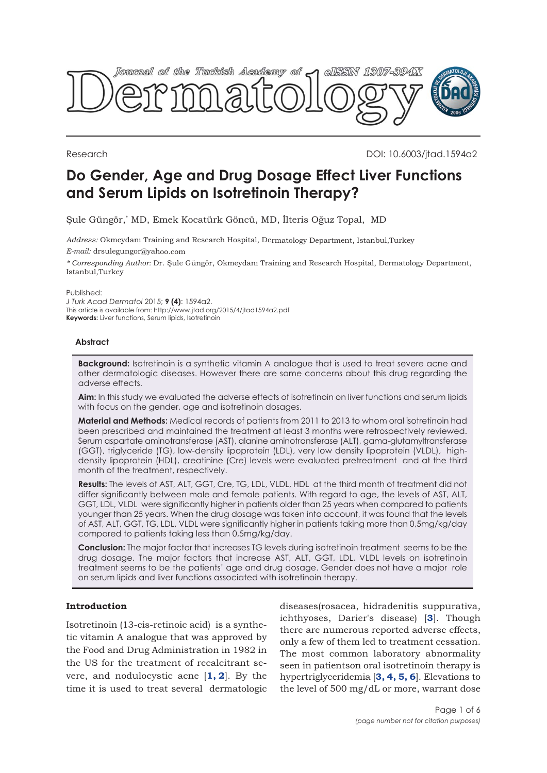

Research DOI: 10.6003/jtad.1594a2

# **Do Gender, Age and Drug Dosage Effect Liver Functions and Serum Lipids on Isotretinoin Therapy?**

Şule Güngör,\* MD, Emek Kocatürk Göncü, MD, İlteris Oğuz Topal, MD

*Address:* Okmeydanı Training and Research Hospital, Dermatology Department, Istanbul,Turkey *E-mail:* drsulegungor@yahoo.com

*\* Corresponding Author:* Dr. Şule Güngör, Okmeydanı Training and Research Hospital, Dermatology Department, Istanbul,Turkey

Published:

*J Turk Acad Dermatol* 2015; **9 (4)**: 1594a2. This article is available from: http://www.jtad.org/2015/4/jtad1594a2.pdf **Keywords:** Liver functions, Serum lipids, Isotretinoin

## **Abstract**

**Background:** Isotretinoin is a synthetic vitamin A analogue that is used to treat severe acne and other dermatologic diseases. However there are some concerns about this drug regarding the adverse effects.

**Aim:** In this study we evaluated the adverse effects of isotretinoin on liver functions and serum lipids with focus on the gender, age and isotretinoin dosages.

**Material and Methods:** Medical records of patients from 2011 to 2013 to whom oral isotretinoin had been prescribed and maintained the treatment at least 3 months were retrospectively reviewed. Serum aspartate aminotransferase (AST), alanine aminotransferase (ALT), gama-glutamyltransferase (GGT), triglyceride (TG), low-density lipoprotein (LDL), very low density lipoprotein (VLDL), highdensity lipoprotein (HDL), creatinine (Cre) levels were evaluated pretreatment and at the third month of the treatment, respectively.

**Results:** The levels of AST, ALT, GGT, Cre, TG, LDL, VLDL, HDL at the third month of treatment did not differ significantly between male and female patients. With regard to age, the levels of AST, ALT, GGT, LDL, VLDL were significantly higher in patients older than 25 years when compared to patients younger than 25 years. When the drug dosage was taken into account, it was found that the levels of AST, ALT, GGT, TG, LDL, VLDL were significantly higher in patients taking more than 0,5mg/kg/day compared to patients taking less than 0,5mg/kg/day.

**Conclusion:** The major factor that increases TG levels during isotretinoin treatment seems to be the drug dosage. The major factors that increase AST, ALT, GGT, LDL, VLDL levels on isotretinoin treatment seems to be the patients' age and drug dosage. Gender does not have a major role on serum lipids and liver functions associated with isotretinoin therapy.

# **Introduction**

Isotretinoin (13-cis-retinoic acid) is a synthetic vitamin A analogue that was approved by the Food and Drug Administration in 1982 in the US for the treatment of recalcitrant severe, and nodulocystic acne [**[1,](#page-5-0) [2](#page-4-0)**]. By the time it is used to treat several dermatologic

diseases(rosacea, hidradenitis suppurativa, ichthyoses, Darier's disease) [**[3](#page-4-0)**]. Though there are numerous reported adverse effects, only a few of them led to treatment cessation. The most common laboratory abnormality seen in patientson oral isotretinoin therapy is hypertriglyceridemia [**[3, 4, 5, 6](#page-5-0)**]. Elevations to the level of 500 mg/dL or more, warrant dose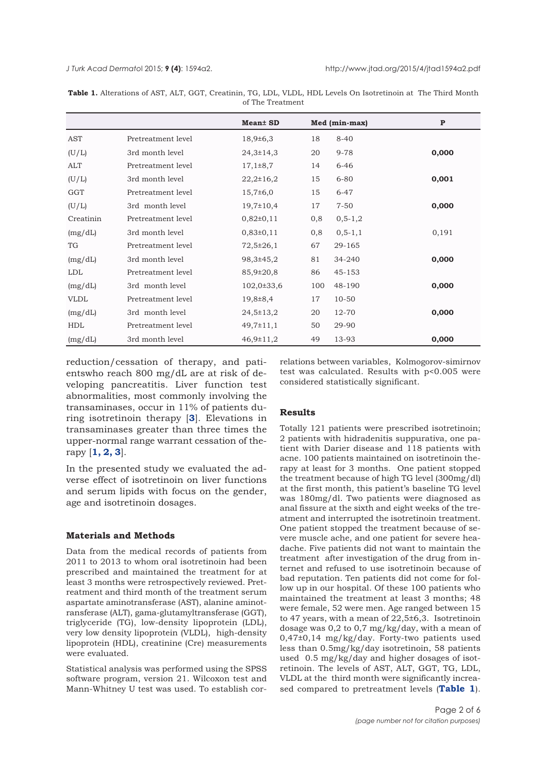<span id="page-1-0"></span>*J Turk Acad Dermato*l 2015; **9 (4)**: 1594a2. http://www.jtad.org/2015/4/jtad1594a2.pdf

|             |                    | <b>Mean</b> SD  |     | Med (min-max) | $\mathbf{P}$ |
|-------------|--------------------|-----------------|-----|---------------|--------------|
| AST         | Pretreatment level | $18,9{\pm}6,3$  | 18  | $8 - 40$      |              |
| (U/L)       | 3rd month level    | $24,3 \pm 14,3$ | 20  | $9 - 78$      | 0,000        |
| ALT         | Pretreatment level | $17,1\pm8,7$    | 14  | $6 - 46$      |              |
| (U/L)       | 3rd month level    | $22,2 \pm 16,2$ | 15  | $6 - 80$      | 0,001        |
| GGT         | Pretreatment level | $15,7\pm 6,0$   | 15  | $6 - 47$      |              |
| (U/L)       | 3rd month level    | $19,7 \pm 10,4$ | 17  | $7 - 50$      | 0,000        |
| Creatinin   | Pretreatment level | $0,82\pm0,11$   | 0,8 | $0, 5 - 1, 2$ |              |
| (mg/dL)     | 3rd month level    | $0,83\pm0,11$   | 0,8 | $0, 5 - 1, 1$ | 0,191        |
| TG          | Pretreatment level | $72,5 \pm 26,1$ | 67  | 29-165        |              |
| (mg/dL)     | 3rd month level    | 98,3±45,2       | 81  | 34-240        | 0,000        |
| LDL         | Pretreatment level | 85,9±20,8       | 86  | 45-153        |              |
| (mg/dL)     | 3rd month level    | $102,0\pm 33,6$ | 100 | 48-190        | 0,000        |
| <b>VLDL</b> | Pretreatment level | 19,8±8,4        | 17  | $10 - 50$     |              |
| (mg/dL)     | 3rd month level    | $24,5 \pm 13,2$ | 20  | 12-70         | 0,000        |
| <b>HDL</b>  | Pretreatment level | $49,7 \pm 11,1$ | 50  | 29-90         |              |
| (mg/dL)     | 3rd month level    | $46,9 \pm 11,2$ | 49  | 13-93         | 0,000        |

**Table 1.** Alterations of AST, ALT, GGT, Creatinin, TG, LDL, VLDL, HDL Levels On Isotretinoin at The Third Month of The Treatment

reduction/cessation of therapy, and patientswho reach 800 mg/dL are at risk of developing pancreatitis. Liver function test abnormalities, most commonly involving the transaminases, occur in 11% of patients during isotretinoin therapy [**[3](#page-5-0)**]. Elevations in transaminases greater than three times the upper-normal range warrant cessation of therapy [**[1, 2, 3](#page-4-0)**].

In the presented study we evaluated the adverse effect of isotretinoin on liver functions and serum lipids with focus on the gender, age and isotretinoin dosages.

#### **Materials and Methods**

Data from the medical records of patients from 2011 to 2013 to whom oral isotretinoin had been prescribed and maintained the treatment for at least 3 months were retrospectively reviewed. Pretreatment and third month of the treatment serum aspartate aminotransferase (AST), alanine aminotransferase (ALT), gama-glutamyltransferase (GGT), triglyceride (TG), low-density lipoprotein (LDL), very low density lipoprotein (VLDL), high-density lipoprotein (HDL), creatinine (Cre) measurements were evaluated.

Statistical analysis was performed using the SPSS software program, version 21. Wilcoxon test and Mann-Whitney U test was used. To establish cor-

relations between variables, Kolmogorov-simirnov test was calculated. Results with p<0.005 were considered statistically significant.

## **Results**

Totally 121 patients were prescribed isotretinoin; 2 patients with hidradenitis suppurativa, one patient with Darier disease and 118 patients with acne. 100 patients maintained on isotretinoin therapy at least for 3 months. One patient stopped the treatment because of high TG level (300mg/dl) at the first month, this patient's baseline TG level was 180mg/dl. Two patients were diagnosed as anal fissure at the sixth and eight weeks of the treatment and interrupted the isotretinoin treatment. One patient stopped the treatment because of severe muscle ache, and one patient for severe headache. Five patients did not want to maintain the treatment after investigation of the drug from internet and refused to use isotretinoin because of bad reputation. Ten patients did not come for follow up in our hospital. Of these 100 patients who maintained the treatment at least 3 months; 48 were female, 52 were men. Age ranged between 15 to 47 years, with a mean of  $22,5\pm6,3$ . Isotretinoin dosage was 0,2 to 0,7 mg/kg/day, with a mean of 0,47±0,14 mg/kg/day. Forty-two patients used less than 0.5mg/kg/day isotretinoin, 58 patients used 0.5 mg/kg/day and higher dosages of isotretinoin. The levels of AST, ALT, GGT, TG, LDL, VLDL at the third month were significantly increased compared to pretreatment levels (**Table 1**).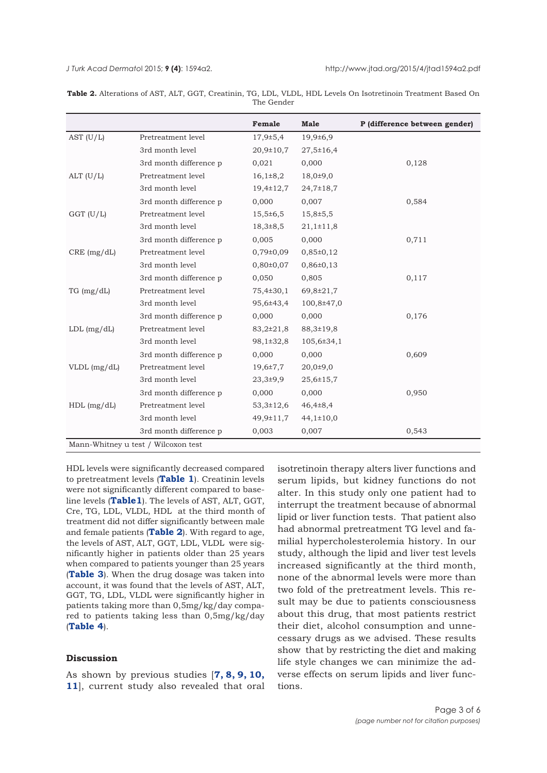|               |                                                               | Female          | <b>Male</b>      | P (difference between gender) |
|---------------|---------------------------------------------------------------|-----------------|------------------|-------------------------------|
| AST $(U/L)$   | Pretreatment level                                            | $17,9{\pm}5,4$  | $19,9{\pm}6,9$   |                               |
|               | 3rd month level                                               | $20,9 \pm 10,7$ | 27,5±16,4        |                               |
|               | 3rd month difference p                                        | 0,021           | 0,000            | 0,128                         |
| $ALT$ (U/L)   | Pretreatment level                                            | $16,1\pm8,2$    | $18,0{\pm}9,0$   |                               |
|               | 3rd month level                                               | $19,4 \pm 12,7$ | 24,7±18,7        |                               |
|               | 3rd month difference p                                        | 0,000           | 0,007            | 0,584                         |
| $GGT$ (U/L)   | Pretreatment level                                            | $15,5 \pm 6,5$  | $15,8+5,5$       |                               |
|               | 3rd month level                                               | $18,3{\pm}8,5$  | $21,1 \pm 11,8$  |                               |
|               | 3rd month difference p                                        | 0,005           | 0,000            | 0,711                         |
| CRE (mg/dL)   | Pretreatment level                                            | $0,79\pm0,09$   | 0,85±0,12        |                               |
|               | 3rd month level                                               | $0,80\pm0,07$   | 0,86±0,13        |                               |
|               | 3rd month difference p                                        | 0.050           | 0.805            | 0,117                         |
| TG (mg/dL)    | Pretreatment level                                            | 75,4±30,1       | 69,8±21,7        |                               |
|               | 3rd month level                                               | 95,6±43,4       | 100,8±47,0       |                               |
|               | 3rd month difference p                                        | 0,000           | 0,000            | 0,176                         |
| LDL (mg/dL)   | Pretreatment level                                            | $83,2{\pm}21,8$ | 88,3±19,8        |                               |
|               | 3rd month level                                               | 98,1±32,8       | $105,6 \pm 34,1$ |                               |
|               | 3rd month difference p                                        | 0,000           | 0,000            | 0,609                         |
| VLDL (mg/dL)  | Pretreatment level                                            | $19,6{\pm}7,7$  | $20,0{\pm}9,0$   |                               |
|               | 3rd month level                                               | $23,3+9,9$      | $25,6 \pm 15,7$  |                               |
|               | 3rd month difference p                                        | 0,000           | 0,000            | 0,950                         |
| $HDL$ (mg/dL) | Pretreatment level                                            | $53,3 \pm 12,6$ | $46,4\pm8,4$     |                               |
|               | 3rd month level                                               | 49,9±11,7       | $44,1 \pm 10,0$  |                               |
|               | 3rd month difference p<br>Mann-Whitney u test / Wilcoxon test | 0,003           | 0,007            | 0,543                         |

**Table 2.** Alterations of AST, ALT, GGT, Creatinin, TG, LDL, VLDL, HDL Levels On Isotretinoin Treatment Based On The Gender

HDL levels were significantly decreased compared to pretreatment levels (**[Table 1](#page-1-0)**). Creatinin levels were not significantly different compared to baseline levels (**Table1**). The levels of AST, ALT, GGT, Cre, TG, LDL, VLDL, HDL at the third month of treatment did not differ significantly between male and female patients (**Table 2**). With regard to age, the levels of AST, ALT, GGT, LDL, VLDL were significantly higher in patients older than 25 years when compared to patients younger than 25 years (**[Table 3](#page-3-0)**). When the drug dosage was taken into account, it was found that the levels of AST, ALT, GGT, TG, LDL, VLDL were significantly higher in patients taking more than 0,5mg/kg/day compared to patients taking less than 0,5mg/kg/day (**[Table 4](#page-4-0)**).

## **Discussion**

As shown by previous studies [**[7, 8, 9, 10,](#page-5-0) [11](#page-5-0)**], current study also revealed that oral isotretinoin therapy alters liver functions and serum lipids, but kidney functions do not alter. In this study only one patient had to interrupt the treatment because of abnormal lipid or liver function tests. That patient also had abnormal pretreatment TG level and familial hypercholesterolemia history. In our study, although the lipid and liver test levels increased significantly at the third month, none of the abnormal levels were more than two fold of the pretreatment levels. This result may be due to patients consciousness about this drug, that most patients restrict their diet, alcohol consumption and unnecessary drugs as we advised. These results show that by restricting the diet and making life style changes we can minimize the adverse effects on serum lipids and liver functions.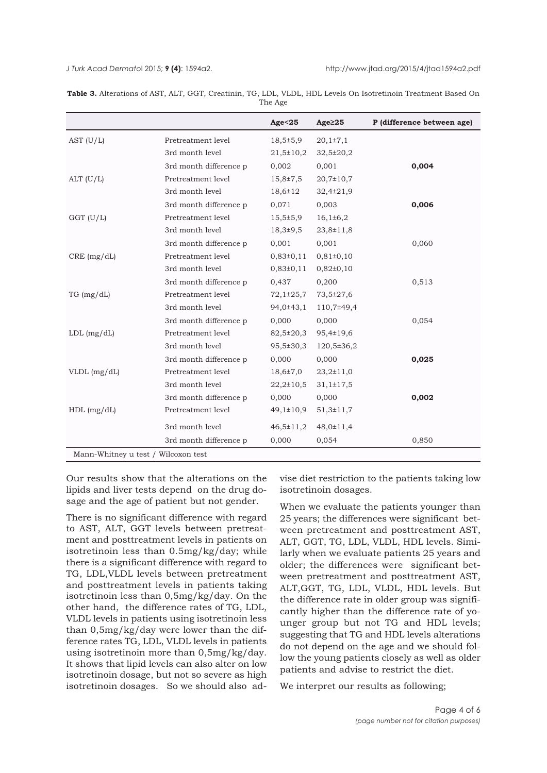<span id="page-3-0"></span>

|                                     |                        | Age < 25        | Age <sub>25</sub> | P (difference between age) |
|-------------------------------------|------------------------|-----------------|-------------------|----------------------------|
| AST $(U/L)$                         | Pretreatment level     | $18,5 \pm 5,9$  | $20,1{\pm}7,1$    |                            |
|                                     | 3rd month level        | $21,5 \pm 10,2$ | $32,5 \pm 20,2$   |                            |
|                                     | 3rd month difference p | 0,002           | 0,001             | 0,004                      |
| $ALT$ (U/L)                         | Pretreatment level     | $15,8{\pm}7,5$  | $20,7 \pm 10,7$   |                            |
|                                     | 3rd month level        | 18,6±12         | 32,4±21,9         |                            |
|                                     | 3rd month difference p | 0,071           | 0,003             | 0,006                      |
| $GGT$ (U/L)                         | Pretreatment level     | $15,5 \pm 5,9$  | $16,1\pm 6,2$     |                            |
|                                     | 3rd month level        | $18,3{\pm}9,5$  | 23,8±11,8         |                            |
|                                     | 3rd month difference p | 0,001           | 0,001             | 0,060                      |
| CRE (mg/dL)                         | Pretreatment level     | 0,83±0,11       | $0,81\pm0,10$     |                            |
|                                     | 3rd month level        | $0,83\pm0,11$   | $0,82\pm0,10$     |                            |
|                                     | 3rd month difference p | 0,437           | 0,200             | 0,513                      |
| TG (mg/dL)                          | Pretreatment level     | $72,1\pm 25,7$  | 73,5±27,6         |                            |
|                                     | 3rd month level        | 94,0±43,1       | 110,7±49,4        |                            |
|                                     | 3rd month difference p | 0,000           | 0,000             | 0,054                      |
| $LDL$ (mg/dL)                       | Pretreatment level     | 82,5±20,3       | 95,4±19,6         |                            |
|                                     | 3rd month level        | 95,5±30,3       | $120,5 \pm 36,2$  |                            |
|                                     | 3rd month difference p | 0,000           | 0,000             | 0,025                      |
| VLDL (mg/dL)                        | Pretreatment level     | $18,6{\pm}7,0$  | $23,2 \pm 11,0$   |                            |
|                                     | 3rd month level        | $22,2{\pm}10,5$ | $31,1 \pm 17,5$   |                            |
|                                     | 3rd month difference p | 0,000           | 0,000             | 0,002                      |
| $HDL$ (mg/dL)                       | Pretreatment level     | 49,1±10,9       | $51,3 \pm 11,7$   |                            |
|                                     | 3rd month level        | $46,5 \pm 11,2$ | $48,0 \pm 11,4$   |                            |
|                                     | 3rd month difference p | 0,000           | 0,054             | 0,850                      |
| Mann-Whitney u test / Wilcoxon test |                        |                 |                   |                            |

**Table 3.** Alterations of AST, ALT, GGT, Creatinin, TG, LDL, VLDL, HDL Levels On Isotretinoin Treatment Based On The Age

Our results show that the alterations on the lipids and liver tests depend on the drug dosage and the age of patient but not gender.

There is no significant difference with regard to AST, ALT, GGT levels between pretreatment and posttreatment levels in patients on isotretinoin less than 0.5mg/kg/day; while there is a significant difference with regard to TG, LDL,VLDL levels between pretreatment and posttreatment levels in patients taking isotretinoin less than 0,5mg/kg/day. On the other hand, the difference rates of TG, LDL, VLDL levels in patients using isotretinoin less than 0,5mg/kg/day were lower than the difference rates TG, LDL, VLDL levels in patients using isotretinoin more than 0,5mg/kg/day. It shows that lipid levels can also alter on low isotretinoin dosage, but not so severe as high isotretinoin dosages. So we should also ad-

vise diet restriction to the patients taking low isotretinoin dosages.

When we evaluate the patients younger than 25 years; the differences were significant between pretreatment and posttreatment AST, ALT, GGT, TG, LDL, VLDL, HDL levels. Similarly when we evaluate patients 25 years and older; the differences were significant between pretreatment and posttreatment AST, ALT,GGT, TG, LDL, VLDL, HDL levels. But the difference rate in older group was significantly higher than the difference rate of younger group but not TG and HDL levels; suggesting that TG and HDL levels alterations do not depend on the age and we should follow the young patients closely as well as older patients and advise to restrict the diet.

We interpret our results as following;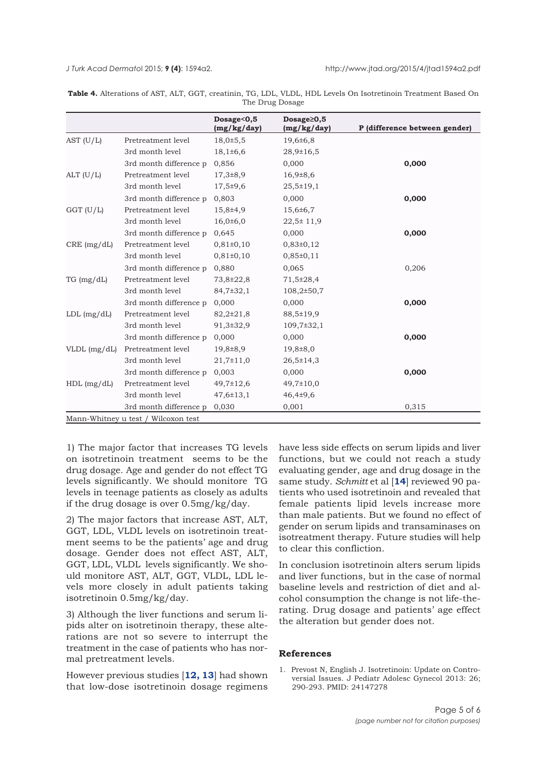<span id="page-4-0"></span>

|                 | <b>Table 4.</b> Alterations of AST, ALT, GGT, creatinin, TG, LDL, VLDL, HDL Levels On Isotretinoin Treatment Based On |  |  |  |  |  |  |
|-----------------|-----------------------------------------------------------------------------------------------------------------------|--|--|--|--|--|--|
| The Drug Dosage |                                                                                                                       |  |  |  |  |  |  |

|                |                                     | Dosage<0,5<br>(mg/kg/day) | $Dosage \ge 0,5$<br>(mg/kg/day) | P (difference between gender) |
|----------------|-------------------------------------|---------------------------|---------------------------------|-------------------------------|
| AST $(U/L)$    | Pretreatment level                  | $18,0{\pm}5,5$            | 19,6±6,8                        |                               |
|                | 3rd month level                     | $18,1\pm 6,6$             | $28,9 \pm 16,5$                 |                               |
|                | 3rd month difference p              | 0,856                     | 0,000                           | 0,000                         |
| $ALT$ (U/L)    | Pretreatment level                  | $17,3{\pm}8,9$            | $16,9{\pm}8,6$                  |                               |
|                | 3rd month level                     | $17,5+9,6$                | $25,5 \pm 19,1$                 |                               |
|                | 3rd month difference p              | 0.803                     | 0,000                           | 0,000                         |
| $GGT$ (U/L)    | Pretreatment level                  | 15,8±4,9                  | $15,6 \pm 6,7$                  |                               |
|                | 3rd month level                     | $16,0{\pm}6,0$            | $22,5 \pm 11,9$                 |                               |
|                | 3rd month difference p              | 0,645                     | 0,000                           | 0,000                         |
| CRE (mg/dL)    | Pretreatment level                  | $0,81\pm0,10$             | $0,83\pm0,12$                   |                               |
|                | 3rd month level                     | 0,81±0,10                 | $0,85 \pm 0,11$                 |                               |
|                | 3rd month difference p              | 0,880                     | 0,065                           | 0,206                         |
| TG (mg/dL)     | Pretreatment level                  | 73,8±22,8                 | 71,5±28,4                       |                               |
|                | 3rd month level                     | 84,7±32,1                 | $108,2{\pm}50,7$                |                               |
|                | 3rd month difference p              | 0,000                     | 0,000                           | 0,000                         |
| $LDL$ (mg/dL)  | Pretreatment level                  | $82,2{\pm}21,8$           | 88,5±19,9                       |                               |
|                | 3rd month level                     | 91,3±32,9                 | $109,7 \pm 32,1$                |                               |
|                | 3rd month difference p              | 0,000                     | 0,000                           | 0,000                         |
| $VLDL$ (mg/dL) | Pretreatment level                  | 19,8±8,9                  | 19,8±8,0                        |                               |
|                | 3rd month level                     | $21,7 \pm 11,0$           | $26,5 \pm 14,3$                 |                               |
|                | 3rd month difference p              | 0,003                     | 0,000                           | 0,000                         |
| $HDL$ (mg/dL)  | Pretreatment level                  | $49,7 \pm 12,6$           | 49,7±10,0                       |                               |
|                | 3rd month level                     | $47,6 \pm 13,1$           | $46,4+9,6$                      |                               |
|                | 3rd month difference p              | 0,030                     | 0,001                           | 0,315                         |
|                | Mann-Whitney u test / Wilcoxon test |                           |                                 |                               |

1) The major factor that increases TG levels on isotretinoin treatment seems to be the drug dosage. Age and gender do not effect TG levels significantly. We should monitore TG levels in teenage patients as closely as adults if the drug dosage is over 0.5mg/kg/day.

2) The major factors that increase AST, ALT, GGT, LDL, VLDL levels on isotretinoin treatment seems to be the patients' age and drug dosage. Gender does not effect AST, ALT, GGT, LDL, VLDL levels significantly. We should monitore AST, ALT, GGT, VLDL, LDL levels more closely in adult patients taking isotretinoin 0.5mg/kg/day.

3) Although the liver functions and serum lipids alter on isotretinoin therapy, these alterations are not so severe to interrupt the treatment in the case of patients who has normal pretreatment levels.

However previous studies [**[12, 13](#page-5-0)**] had shown that low-dose isotretinoin dosage regimens

have less side effects on serum lipids and liver functions, but we could not reach a study evaluating gender, age and drug dosage in the same study. *Schmitt* et al [**[14](#page-5-0)**] reviewed 90 patients who used isotretinoin and revealed that female patients lipid levels increase more than male patients. But we found no effect of gender on serum lipids and transaminases on isotreatment therapy. Future studies will help to clear this confliction.

In conclusion isotretinoin alters serum lipids and liver functions, but in the case of normal baseline levels and restriction of diet and alcohol consumption the change is not life-therating. Drug dosage and patients' age effect the alteration but gender does not.

## **References**

1. Prevost N, English J. Isotretinoin: Update on Controversial Issues. J Pediatr Adolesc Gynecol 2013: 26; 290-293. PMID: 24147278